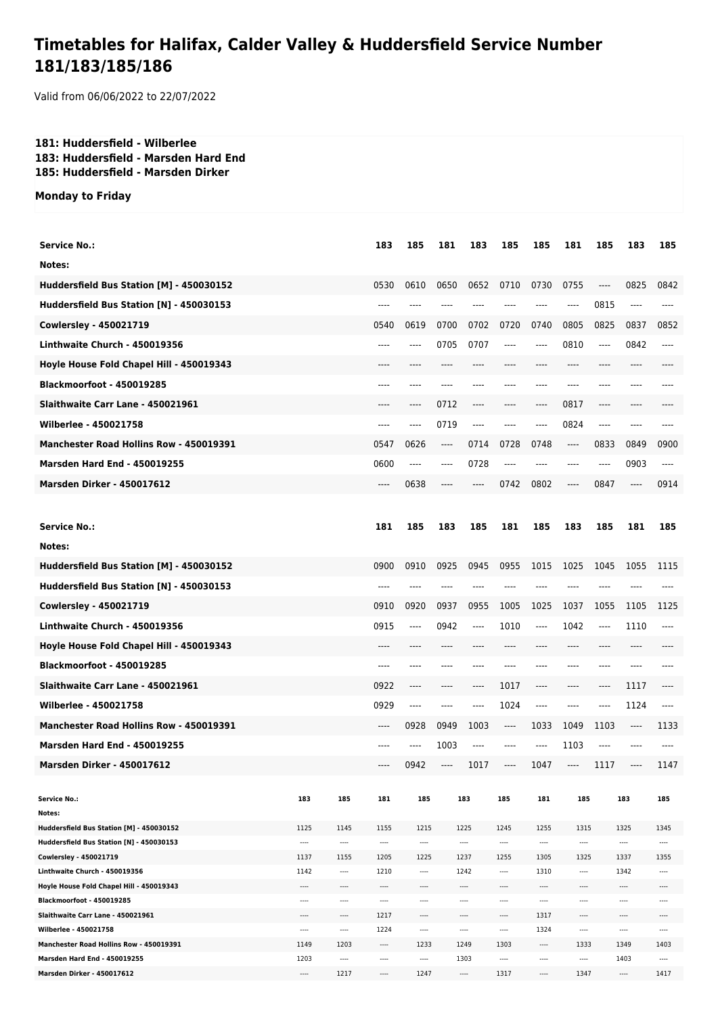## **Timetables for Halifax, Calder Valley & Huddersfield Service Number 181/183/185/186**

Valid from 06/06/2022 to 22/07/2022

## **181: Huddersfield - Wilberlee 183: Huddersfield - Marsden Hard End 185: Huddersfield - Marsden Dirker**

## **Monday to Friday**

| <b>Service No.:</b>                                                       |          |               | 183              | 185          | 181   | 183                     | 185                  | 185              | 181                           | 185     | 183              | 185              |
|---------------------------------------------------------------------------|----------|---------------|------------------|--------------|-------|-------------------------|----------------------|------------------|-------------------------------|---------|------------------|------------------|
| Notes:                                                                    |          |               |                  |              |       |                         |                      |                  |                               |         |                  |                  |
| Huddersfield Bus Station [M] - 450030152                                  |          |               | 0530             | 0610         | 0650  | 0652                    | 0710                 | 0730             | 0755                          | ----    | 0825             | 0842             |
| Huddersfield Bus Station [N] - 450030153                                  |          |               |                  | ----         |       |                         |                      |                  | $---$                         | 0815    | $---$            |                  |
| <b>Cowlersley - 450021719</b>                                             |          |               | 0540             | 0619         | 0700  | 0702                    | 0720                 | 0740             | 0805                          | 0825    | 0837             | 0852             |
| Linthwaite Church - 450019356                                             |          |               | $---$            | ----         | 0705  | 0707                    | ----                 | ----             | 0810                          | ----    | 0842             | ----             |
| Hoyle House Fold Chapel Hill - 450019343                                  |          |               | ----             | ----         | ----  |                         | $---$                | ----             | $---$                         | $---$   | ----             |                  |
| Blackmoorfoot - 450019285                                                 |          |               | $---$            | ----         | ----  | ----                    | ----                 | ----             | $---$                         | $---$   | ----             |                  |
| Slaithwaite Carr Lane - 450021961                                         |          |               | $---$            | ----         | 0712  | ----                    | ----                 | $---$            | 0817                          | ----    | $---$            |                  |
|                                                                           |          |               |                  |              |       |                         |                      |                  |                               |         |                  |                  |
| Wilberlee - 450021758                                                     |          |               | $---$            | ----         | 0719  | ----                    | ----                 | ----             | 0824                          | $---$   | $---$            | ----             |
| <b>Manchester Road Hollins Row - 450019391</b>                            |          |               | 0547             | 0626         | $---$ | 0714                    | 0728                 | 0748             | $\hspace{1.5cm} \textbf{---}$ | 0833    | 0849             | 0900             |
| <b>Marsden Hard End - 450019255</b>                                       |          |               | 0600             | $---$        | $---$ | 0728                    | ----                 | ----             | ----                          | ----    | 0903             | ----             |
| <b>Marsden Dirker - 450017612</b>                                         |          |               | $---$            | 0638         | ----  | ----                    | 0742                 | 0802             | $---$                         | 0847    | $---$            | 0914             |
|                                                                           |          |               |                  |              |       |                         |                      |                  |                               |         |                  |                  |
| <b>Service No.:</b>                                                       |          |               | 181              | 185          | 183   | 185                     | 181                  | 185              | 183                           | 185     | 181              | 185              |
| Notes:                                                                    |          |               |                  |              |       |                         |                      |                  |                               |         |                  |                  |
| Huddersfield Bus Station [M] - 450030152                                  |          |               | 0900             | 0910         | 0925  | 0945                    | 0955                 | 1015             | 1025                          | 1045    | 1055             | 1115             |
| Huddersfield Bus Station [N] - 450030153                                  |          |               | ----             | ----         | ----  | ----                    |                      | ----             | ----                          | ----    | ----             |                  |
|                                                                           |          |               |                  |              |       |                         |                      |                  |                               |         |                  |                  |
| <b>Cowlersley - 450021719</b>                                             |          |               | 0910             | 0920         | 0937  | 0955                    | 1005                 | 1025             | 1037                          | 1055    | 1105             | 1125             |
| Linthwaite Church - 450019356                                             |          |               | 0915             | ----         | 0942  | ----                    | 1010                 | ----             | 1042                          | ----    | 1110             | ----             |
| Hoyle House Fold Chapel Hill - 450019343                                  |          |               | ----             |              |       |                         |                      |                  | ----                          |         | ----             |                  |
| <b>Blackmoorfoot - 450019285</b>                                          |          |               | ----             | ----         |       |                         |                      | ----             | ----                          | ----    | ----             |                  |
| Slaithwaite Carr Lane - 450021961                                         |          |               | 0922             | ----         | ----  | ----                    | 1017                 | ----             | ----                          | ----    | 1117             | ----             |
| <b>Wilberlee - 450021758</b>                                              |          |               | 0929             | ----         | ----  | ----                    | 1024                 | ----             | ----                          | ----    | 1124             | ----             |
| <b>Manchester Road Hollins Row - 450019391</b>                            |          |               | $---$            | 0928         | 0949  | 1003                    | ----                 | 1033             | 1049                          | 1103    | $\cdots$         | 1133             |
| <b>Marsden Hard End - 450019255</b>                                       |          |               | ----             | ----         | 1003  | ----                    | ----                 | ----             | 1103                          | $-----$ | ----             |                  |
| <b>Marsden Dirker - 450017612</b>                                         |          |               | ----             | 0942         | ----  | 1017                    | ----                 | 1047             | ----                          | 1117    | ----             | 1147             |
|                                                                           |          |               |                  |              |       |                         |                      |                  |                               |         |                  |                  |
| <b>Service No.:</b>                                                       | 183      | 185           | 181              | 185          |       | 183                     | 185                  | 181              | 185                           |         | 183              | 185              |
| Notes:                                                                    |          |               |                  |              |       |                         |                      |                  |                               |         |                  |                  |
| Huddersfield Bus Station [M] - 450030152                                  | 1125     | 1145          | 1155             | 1215         |       | 1225                    | 1245                 | 1255             | 1315                          |         | 1325             | 1345             |
| Huddersfield Bus Station [N] - 450030153                                  | ----     | ----          | $\cdots$         | $\cdots$     |       | ----                    | $\cdots$             | $\cdots$         | ----                          |         | $\cdots$         | $\cdots$         |
| Cowlersley - 450021719                                                    | 1137     | 1155          | 1205             | 1225         |       | 1237                    | 1255                 | 1305             | 1325                          |         | 1337             | 1355             |
| Linthwaite Church - 450019356<br>Hoyle House Fold Chapel Hill - 450019343 | 1142<br> | $---$<br>---- | 1210<br>$\cdots$ | $\cdots$<br> |       | 1242<br>$\cdots$        | $\cdots$<br>$\cdots$ | 1310<br>$\cdots$ | $---$<br>----                 |         | 1342<br>$\cdots$ | $\cdots$<br>---- |
| Blackmoorfoot - 450019285                                                 | ----     | ----          | ----             | ----         |       | ----                    | $\cdots$             | $\cdots$         | ----                          |         | ----             | ----             |
| Slaithwaite Carr Lane - 450021961                                         | ----     | ----          | 1217             | ----         |       | ----                    | ----                 | 1317             | ----                          |         | ----             | ----             |
| Wilberlee - 450021758                                                     | ----     | ----          | 1224             |              |       | $\cdots$                | ----                 | 1324             | ----                          |         | $\cdots$         | ----             |
| Manchester Road Hollins Row - 450019391                                   | 1149     | 1203          | $\cdots$         | 1233         |       | 1249                    | 1303                 | $\cdots$         | 1333                          |         | 1349             | 1403             |
| Marsden Hard End - 450019255                                              | 1203     | ----          | ----             | $\cdots$     |       | 1303                    | ----                 | $\cdots$         | $\cdots$                      |         | 1403             | ----             |
| <b>Marsden Dirker - 450017612</b>                                         | ----     | 1217          | ----             | 1247         |       | $\hspace{0.05cm}\ldots$ | 1317                 | $\cdots$         | 1347                          |         | $\cdots$         | 1417             |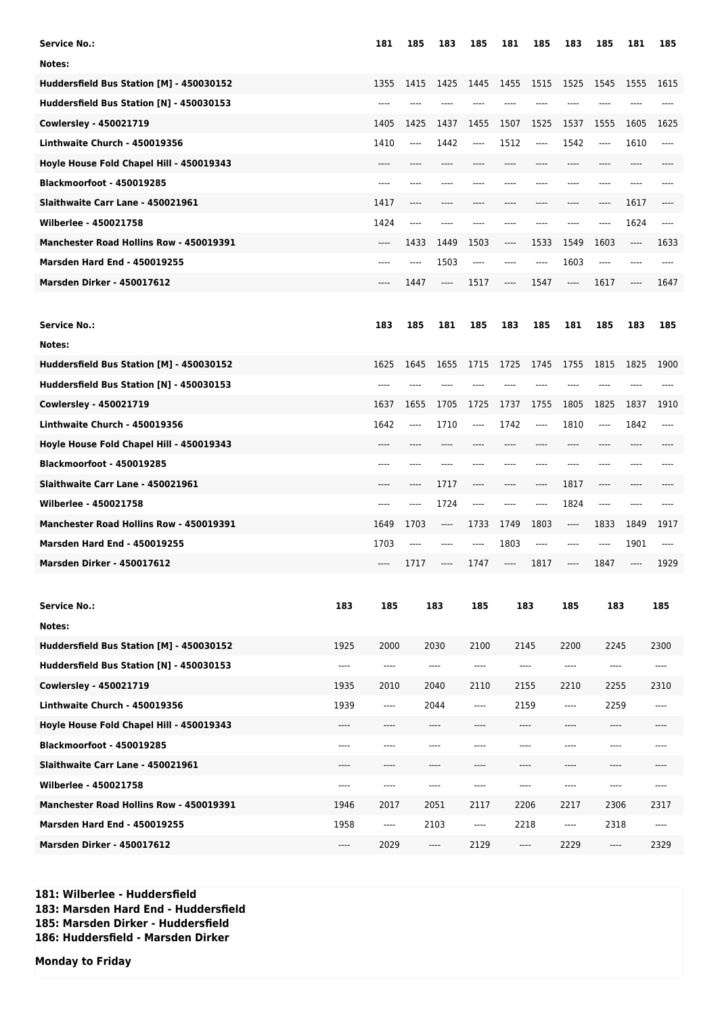| <b>Service No.:</b>                            |                       | 181      | 185  | 183      | 185           | 181   | 185          | 183                           | 185     | 181      | 185      |
|------------------------------------------------|-----------------------|----------|------|----------|---------------|-------|--------------|-------------------------------|---------|----------|----------|
| Notes:                                         |                       |          |      |          |               |       |              |                               |         |          |          |
| Huddersfield Bus Station [M] - 450030152       |                       | 1355     | 1415 | 1425     | 1445          | 1455  | 1515         | 1525                          | 1545    | 1555     | 1615     |
| Huddersfield Bus Station [N] - 450030153       |                       | ----     |      |          |               |       |              |                               |         |          |          |
| Cowlersley - 450021719                         |                       | 1405     | 1425 | 1437     | 1455          | 1507  | 1525         | 1537                          | 1555    | 1605     | 1625     |
| Linthwaite Church - 450019356                  |                       | 1410     | ---- | 1442     | ----          | 1512  | ----         | 1542                          | ----    | 1610     | ----     |
| Hoyle House Fold Chapel Hill - 450019343       |                       | ----     |      |          |               |       |              | ----                          |         |          |          |
| <b>Blackmoorfoot - 450019285</b>               |                       | ----     |      |          |               |       |              | ----                          | ----    | ----     |          |
| Slaithwaite Carr Lane - 450021961              |                       | 1417     | ---- | ----     | ----          | ----  | ----         | ----                          | ----    | 1617     | ----     |
| Wilberlee - 450021758                          |                       | 1424     | ---- |          |               |       |              | ----                          | ----    | 1624     | ----     |
| <b>Manchester Road Hollins Row - 450019391</b> |                       | ----     | 1433 | 1449     | 1503          | ----  | 1533         | 1549                          | 1603    | $\cdots$ | 1633     |
| <b>Marsden Hard End - 450019255</b>            |                       | ----     | ---- | 1503     | ----          | ----  | ----         | 1603                          | $-----$ | ----     |          |
| <b>Marsden Dirker - 450017612</b>              |                       | ----     | 1447 | $-----$  | 1517          | ----  | 1547         | ----                          | 1617    | ----     | 1647     |
|                                                |                       |          |      |          |               |       |              |                               |         |          |          |
| <b>Service No.:</b>                            |                       | 183      | 185  | 181      | 185           | 183   | 185          | 181                           | 185     | 183      | 185      |
| Notes:                                         |                       |          |      |          |               |       |              |                               |         |          |          |
| Huddersfield Bus Station [M] - 450030152       |                       | 1625     | 1645 | 1655     | 1715          | 1725  | 1745         | 1755                          | 1815    | 1825     | 1900     |
| Huddersfield Bus Station [N] - 450030153       |                       | ----     | ---- |          |               |       |              |                               |         |          |          |
| <b>Cowlersley - 450021719</b>                  |                       | 1637     | 1655 | 1705     | 1725          | 1737  | 1755         | 1805                          | 1825    | 1837     | 1910     |
| Linthwaite Church - 450019356                  |                       | 1642     | ---- | 1710     | ----          | 1742  | $---$        | 1810                          | ----    | 1842     | ----     |
| Hoyle House Fold Chapel Hill - 450019343       |                       |          |      |          |               |       |              |                               |         |          |          |
| <b>Blackmoorfoot - 450019285</b>               |                       | ----     | ---- |          |               |       | ----         |                               | ----    | ----     |          |
| Slaithwaite Carr Lane - 450021961              |                       | ----     | ---- | 1717     | ----          | ----  | $---$        | 1817                          | ----    | ----     |          |
| Wilberlee - 450021758                          |                       | ----     | ---- | 1724     | ----          | ----  | $---$        | 1824                          | ----    | ----     |          |
| Manchester Road Hollins Row - 450019391        |                       | 1649     | 1703 | ----     | 1733          | 1749  | 1803         | $\hspace{1.5cm} \textbf{---}$ | 1833    | 1849     | 1917     |
| <b>Marsden Hard End - 450019255</b>            |                       | 1703     | ---- | ----     | ----          | 1803  | $---$        | ----                          | ----    | 1901     | $---$    |
| <b>Marsden Dirker - 450017612</b>              |                       | ----     | 1717 | $-----$  | 1747          | ----  | 1817         | ----                          | 1847    | ----     | 1929     |
|                                                |                       |          |      |          |               |       |              |                               |         |          |          |
| <b>Service No.:</b>                            | 183                   | 185      |      | 183      | 185           |       | 183          | 185                           | 183     |          | 185      |
| Notes:                                         |                       |          |      |          |               |       |              |                               |         |          |          |
| Huddersfield Bus Station [M] - 450030152       | 1925                  | 2000     |      | 2030     | 2100          | 2145  |              | 2200                          | 2245    |          | 2300     |
| Huddersfield Bus Station [N] - 450030153       | $\cdots$              | $\cdots$ |      | $\cdots$ | ----          |       | ----         | ----                          | ----    |          | $\cdots$ |
| <b>Cowlersley - 450021719</b>                  | 1935                  | 2010     |      | 2040     | 2110          |       | 2155         | 2210                          | 2255    |          | 2310     |
| Linthwaite Church - 450019356                  | 1939                  | $\cdots$ |      | 2044     | 2159<br>----  |       |              | 2259<br>----                  |         |          | $---$    |
| Hoyle House Fold Chapel Hill - 450019343       | $---$                 | ----     | ---- |          | ----<br>$---$ |       | ----<br>---- |                               |         | $---$    |          |
| Blackmoorfoot - 450019285                      | $---$                 | $---$    |      | $---$    | ----          | $---$ |              | ----                          | ----    |          | $---$    |
| Slaithwaite Carr Lane - 450021961              | $---$                 | ----     |      | ----     | ----<br>$---$ |       |              | ----                          | ----    |          | $---$    |
| Wilberlee - 450021758                          | $-----$               | $---$    |      | $---$    | ----<br>----  |       |              | ----<br>----                  |         |          | $---$    |
| Manchester Road Hollins Row - 450019391        | 1946                  | 2017     |      | 2051     | 2117          |       | 2206         | 2217                          | 2306    |          | 2317     |
| <b>Marsden Hard End - 450019255</b>            | 1958                  | $\cdots$ |      | 2103     | ----          |       | 2218         | ----                          | 2318    |          | $---$    |
| <b>Marsden Dirker - 450017612</b>              | $\qquad \qquad - - -$ | 2029     |      | ----     | 2129          |       | ----         | 2229                          | ----    |          | 2329     |

**181: Wilberlee - Huddersfield 183: Marsden Hard End - Huddersfield 185: Marsden Dirker - Huddersfield 186: Huddersfield - Marsden Dirker**

**Monday to Friday**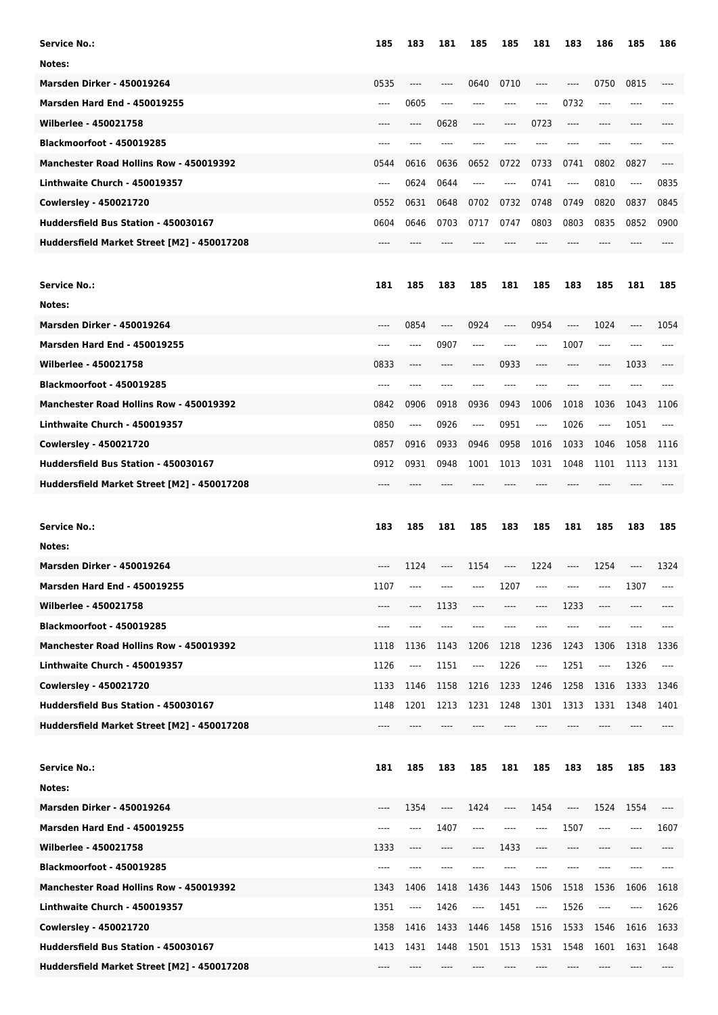| <b>Service No.:</b>                            | 185   | 183     | 181   | 185      | 185      | 181     | 183   | 186                           | 185  | 186   |
|------------------------------------------------|-------|---------|-------|----------|----------|---------|-------|-------------------------------|------|-------|
| Notes:                                         |       |         |       |          |          |         |       |                               |      |       |
| <b>Marsden Dirker - 450019264</b>              | 0535  | ----    | ----  | 0640     | 0710     | $-----$ | $---$ | 0750                          | 0815 | ----  |
| <b>Marsden Hard End - 450019255</b>            | ----  | 0605    | ----  | ----     | $---$    | ----    | 0732  | $---$                         | ---- | ----  |
| Wilberlee - 450021758                          | $---$ | ----    | 0628  | ----     | $---$    | 0723    | ----  | $---$                         | ---- |       |
| <b>Blackmoorfoot - 450019285</b>               | $---$ | ----    | ----  | ----     |          | ----    | ----  | $---$                         | ---- | ----  |
| <b>Manchester Road Hollins Row - 450019392</b> | 0544  | 0616    | 0636  | 0652     | 0722     | 0733    | 0741  | 0802                          | 0827 | $---$ |
| Linthwaite Church - 450019357                  | $---$ | 0624    | 0644  | ----     | $---$    | 0741    | ----  | 0810                          | ---- | 0835  |
| <b>Cowlersley - 450021720</b>                  | 0552  | 0631    | 0648  | 0702     | 0732     | 0748    | 0749  | 0820                          | 0837 | 0845  |
| Huddersfield Bus Station - 450030167           | 0604  | 0646    | 0703  | 0717     | 0747     | 0803    | 0803  | 0835                          | 0852 | 0900  |
| Huddersfield Market Street [M2] - 450017208    | $---$ |         |       |          |          |         |       |                               |      | ----  |
|                                                |       |         |       |          |          |         |       |                               |      |       |
| <b>Service No.:</b>                            | 181   | 185     | 183   | 185      | 181      | 185     | 183   | 185                           | 181  | 185   |
| Notes:                                         |       |         |       |          |          |         |       |                               |      |       |
| <b>Marsden Dirker - 450019264</b>              | ----  | 0854    | ----  | 0924     | $-----$  | 0954    | ----  | 1024                          | ---- | 1054  |
| <b>Marsden Hard End - 450019255</b>            | ----  | ----    | 0907  | ----     | $---$    | ----    | 1007  | $-----$                       | ---- | ----  |
| Wilberlee - 450021758                          | 0833  | ----    | ----  | ----     | 0933     | $-----$ | ----  | $---$                         | 1033 |       |
| <b>Blackmoorfoot - 450019285</b>               | ----  | ----    | ----  |          |          |         | ----  |                               | ---- |       |
| <b>Manchester Road Hollins Row - 450019392</b> | 0842  | 0906    | 0918  | 0936     | 0943     | 1006    | 1018  | 1036                          | 1043 | 1106  |
| Linthwaite Church - 450019357                  | 0850  | $-----$ | 0926  | $\cdots$ | 0951     | ----    | 1026  | $\hspace{1.5cm} \textbf{---}$ | 1051 | ----  |
| <b>Cowlersley - 450021720</b>                  | 0857  | 0916    | 0933  | 0946     | 0958     | 1016    | 1033  | 1046                          | 1058 | 1116  |
| Huddersfield Bus Station - 450030167           | 0912  | 0931    | 0948  | 1001     | 1013     | 1031    | 1048  | 1101                          | 1113 | 1131  |
| Huddersfield Market Street [M2] - 450017208    |       |         |       |          |          |         |       |                               |      |       |
|                                                |       |         |       |          |          |         |       |                               |      |       |
|                                                |       |         |       |          |          |         |       |                               |      |       |
| <b>Service No.:</b>                            | 183   | 185     | 181   | 185      | 183      | 185     | 181   | 185                           | 183  | 185   |
| Notes:                                         |       |         |       |          |          |         |       |                               |      |       |
| <b>Marsden Dirker - 450019264</b>              | ----  | 1124    | ----  | 1154     | $---$    | 1224    | ----  | 1254                          | ---- | 1324  |
| <b>Marsden Hard End - 450019255</b>            | 1107  |         |       |          | 1207     |         |       |                               | 1307 | ----  |
| Wilberlee - 450021758                          | ----  | ----    | 1133  |          |          |         | 1233  | ----                          | ---- |       |
| Blackmoorfoot - 450019285                      | ----  | ----    | ----  |          |          |         | ----  |                               | ---- |       |
| Manchester Road Hollins Row - 450019392        | 1118  | 1136    | 1143  | 1206     | 1218     | 1236    | 1243  | 1306                          | 1318 | 1336  |
| Linthwaite Church - 450019357                  | 1126  | ----    | 1151  | ----     | 1226     | ----    | 1251  | $\hspace{1.5cm} \textbf{---}$ | 1326 | ----  |
| <b>Cowlersley - 450021720</b>                  | 1133  | 1146    | 1158  | 1216     | 1233     | 1246    | 1258  | 1316                          | 1333 | 1346  |
| Huddersfield Bus Station - 450030167           | 1148  | 1201    | 1213  | 1231     | 1248     | 1301    | 1313  | 1331                          | 1348 | 1401  |
| Huddersfield Market Street [M2] - 450017208    | ----  |         |       |          |          |         |       |                               |      |       |
|                                                |       |         |       |          |          |         |       |                               |      |       |
| <b>Service No.:</b>                            | 181   | 185     | 183   | 185      | 181      | 185     | 183   | 185                           | 185  | 183   |
| Notes:                                         |       |         |       |          |          |         |       |                               |      |       |
| <b>Marsden Dirker - 450019264</b>              | ----  | 1354    | $---$ | 1424     | $\cdots$ | 1454    | ----  | 1524                          | 1554 | ----  |
| <b>Marsden Hard End - 450019255</b>            | ----  | ----    | 1407  | ----     | $---$    | ----    | 1507  | ----                          | ---- | 1607  |
| Wilberlee - 450021758                          | 1333  | ----    | ----  | ----     | 1433     | $---$   | ----  |                               | ---- |       |
| Blackmoorfoot - 450019285                      | ----  | ----    | ----  | ----     |          | ----    | ----  | ----                          | ---- |       |
| Manchester Road Hollins Row - 450019392        | 1343  | 1406    | 1418  | 1436     | 1443     | 1506    | 1518  | 1536                          | 1606 | 1618  |
| Linthwaite Church - 450019357                  | 1351  | ----    | 1426  | $\cdots$ | 1451     | ----    | 1526  | $-----$                       | ---- | 1626  |
| <b>Cowlersley - 450021720</b>                  | 1358  | 1416    | 1433  | 1446     | 1458     | 1516    | 1533  | 1546                          | 1616 | 1633  |
| Huddersfield Bus Station - 450030167           | 1413  | 1431    | 1448  | 1501     | 1513     | 1531    | 1548  | 1601                          | 1631 | 1648  |